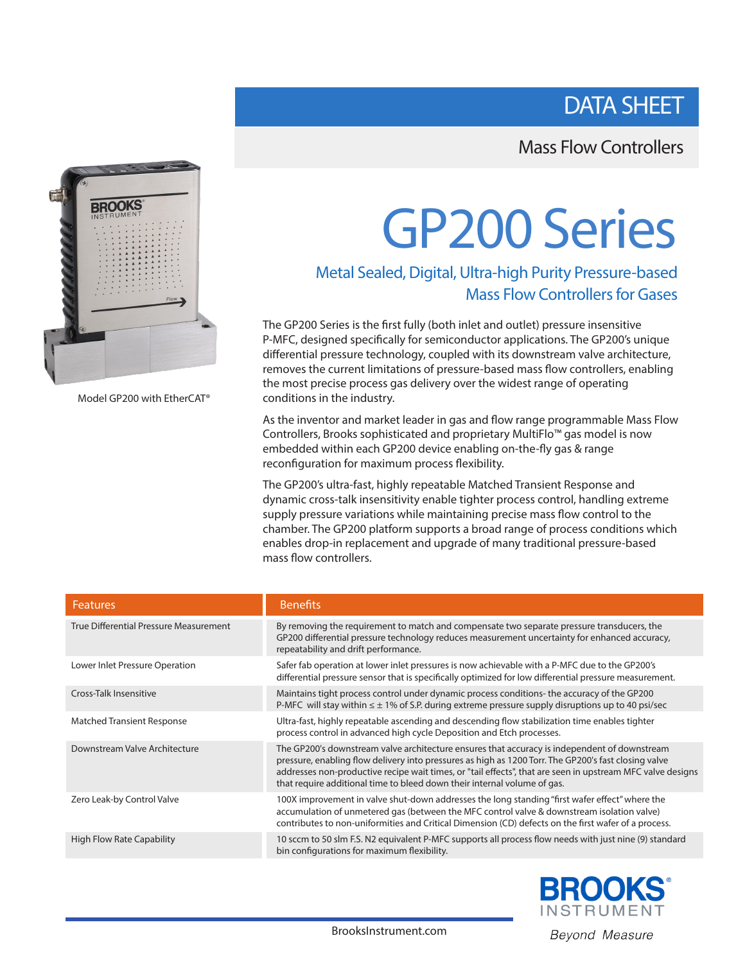# DATA SHEET

## Mass Flow Controllers



Model GP200 with EtherCAT®

# GP200 Series

### Metal Sealed, Digital, Ultra-high Purity Pressure-based Mass Flow Controllers for Gases

The GP200 Series is the first fully (both inlet and outlet) pressure insensitive P-MFC, designed specifically for semiconductor applications. The GP200's unique differential pressure technology, coupled with its downstream valve architecture, removes the current limitations of pressure-based mass flow controllers, enabling the most precise process gas delivery over the widest range of operating conditions in the industry.

As the inventor and market leader in gas and flow range programmable Mass Flow Controllers, Brooks sophisticated and proprietary MultiFlo™ gas model is now embedded within each GP200 device enabling on-the-fly gas & range reconfiguration for maximum process flexibility.

The GP200's ultra-fast, highly repeatable Matched Transient Response and dynamic cross-talk insensitivity enable tighter process control, handling extreme supply pressure variations while maintaining precise mass flow control to the chamber. The GP200 platform supports a broad range of process conditions which enables drop-in replacement and upgrade of many traditional pressure-based mass flow controllers.

| <b>Features</b>                        | <b>Benefits</b>                                                                                                                                                                                                                                                                                                                                                                                |
|----------------------------------------|------------------------------------------------------------------------------------------------------------------------------------------------------------------------------------------------------------------------------------------------------------------------------------------------------------------------------------------------------------------------------------------------|
| True Differential Pressure Measurement | By removing the requirement to match and compensate two separate pressure transducers, the<br>GP200 differential pressure technology reduces measurement uncertainty for enhanced accuracy,<br>repeatability and drift performance.                                                                                                                                                            |
| Lower Inlet Pressure Operation         | Safer fab operation at lower inlet pressures is now achievable with a P-MFC due to the GP200's<br>differential pressure sensor that is specifically optimized for low differential pressure measurement.                                                                                                                                                                                       |
| Cross-Talk Insensitive                 | Maintains tight process control under dynamic process conditions- the accuracy of the GP200<br>P-MFC will stay within $\leq \pm 1\%$ of S.P. during extreme pressure supply disruptions up to 40 psi/sec                                                                                                                                                                                       |
| <b>Matched Transient Response</b>      | Ultra-fast, highly repeatable ascending and descending flow stabilization time enables tighter<br>process control in advanced high cycle Deposition and Etch processes.                                                                                                                                                                                                                        |
| Downstream Valve Architecture          | The GP200's downstream valve architecture ensures that accuracy is independent of downstream<br>pressure, enabling flow delivery into pressures as high as 1200 Torr. The GP200's fast closing valve<br>addresses non-productive recipe wait times, or "tail effects", that are seen in upstream MFC valve designs<br>that require additional time to bleed down their internal volume of gas. |
| Zero Leak-by Control Valve             | 100X improvement in valve shut-down addresses the long standing "first wafer effect" where the<br>accumulation of unmetered gas (between the MFC control valve & downstream isolation valve)<br>contributes to non-uniformities and Critical Dimension (CD) defects on the first wafer of a process.                                                                                           |
| <b>High Flow Rate Capability</b>       | 10 sccm to 50 slm F.S. N2 equivalent P-MFC supports all process flow needs with just nine (9) standard<br>bin configurations for maximum flexibility.                                                                                                                                                                                                                                          |

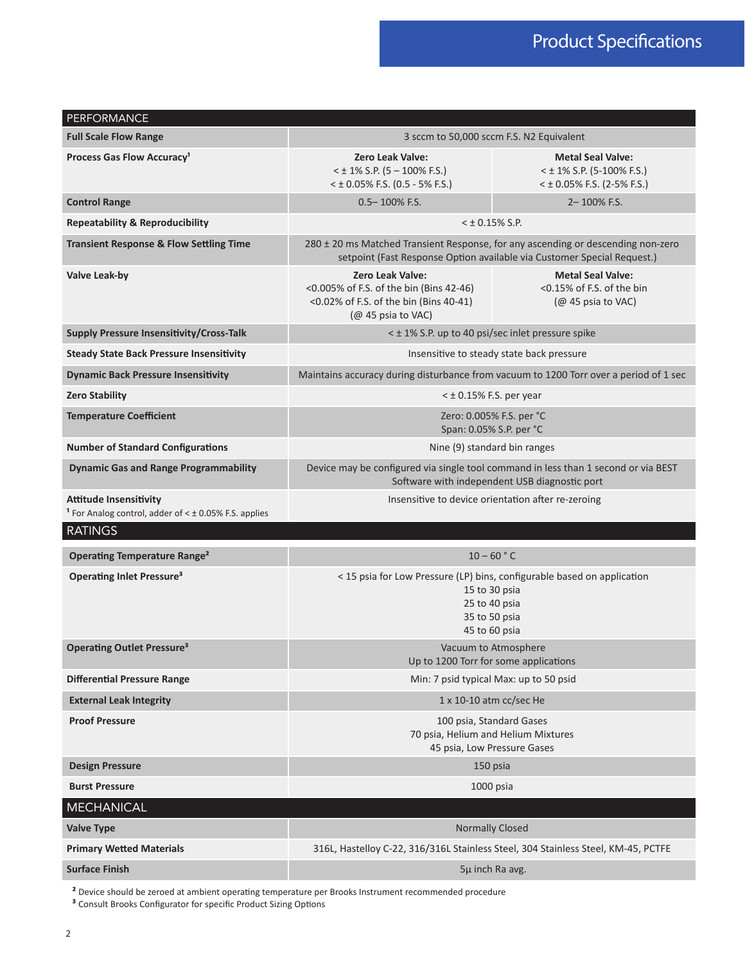| 3 sccm to 50,000 sccm F.S. N2 Equivalent                                                                                                                                                                                                                                                                                                                                                                                                                                                                                                                                                                                                                                                                                                                                                                                                                                                                                                                         |                                                                                         |  |  |  |  |
|------------------------------------------------------------------------------------------------------------------------------------------------------------------------------------------------------------------------------------------------------------------------------------------------------------------------------------------------------------------------------------------------------------------------------------------------------------------------------------------------------------------------------------------------------------------------------------------------------------------------------------------------------------------------------------------------------------------------------------------------------------------------------------------------------------------------------------------------------------------------------------------------------------------------------------------------------------------|-----------------------------------------------------------------------------------------|--|--|--|--|
| <b>Zero Leak Valve:</b><br>$<$ ± 1% S.P. (5 – 100% F.S.)<br>$<$ ± 0.05% F.S. (0.5 - 5% F.S.)                                                                                                                                                                                                                                                                                                                                                                                                                                                                                                                                                                                                                                                                                                                                                                                                                                                                     | <b>Metal Seal Valve:</b><br>$<$ ± 1% S.P. (5-100% F.S.)<br>$<$ ± 0.05% F.S. (2-5% F.S.) |  |  |  |  |
| $0.5 - 100\%$ F.S.                                                                                                                                                                                                                                                                                                                                                                                                                                                                                                                                                                                                                                                                                                                                                                                                                                                                                                                                               | 2-100% F.S.                                                                             |  |  |  |  |
|                                                                                                                                                                                                                                                                                                                                                                                                                                                                                                                                                                                                                                                                                                                                                                                                                                                                                                                                                                  |                                                                                         |  |  |  |  |
| 280 ± 20 ms Matched Transient Response, for any ascending or descending non-zero<br>setpoint (Fast Response Option available via Customer Special Request.)                                                                                                                                                                                                                                                                                                                                                                                                                                                                                                                                                                                                                                                                                                                                                                                                      |                                                                                         |  |  |  |  |
| Zero Leak Valve:<br><0.005% of F.S. of the bin (Bins 42-46)<br><0.02% of F.S. of the bin (Bins 40-41)<br>(@ 45 psia to VAC)                                                                                                                                                                                                                                                                                                                                                                                                                                                                                                                                                                                                                                                                                                                                                                                                                                      | <b>Metal Seal Valve:</b><br><0.15% of F.S. of the bin<br>$(Q2 45$ psia to VAC)          |  |  |  |  |
| $<$ ± 0.15% S.P.<br>< ± 1% S.P. up to 40 psi/sec inlet pressure spike<br>Insensitive to steady state back pressure<br>Maintains accuracy during disturbance from vacuum to 1200 Torr over a period of 1 sec<br>$<$ $\pm$ 0.15% F.S. per year<br>Zero: 0.005% F.S. per °C<br>Span: 0.05% S.P. per °C<br>Nine (9) standard bin ranges<br>Device may be configured via single tool command in less than 1 second or via BEST<br>Software with independent USB diagnostic port<br>Insensitive to device orientation after re-zeroing<br>$10 - 60 °C$<br>< 15 psia for Low Pressure (LP) bins, configurable based on application<br>15 to 30 psia<br>25 to 40 psia<br>35 to 50 psia<br>45 to 60 psia<br>Vacuum to Atmosphere<br>Up to 1200 Torr for some applications<br>Min: 7 psid typical Max: up to 50 psid<br>1 x 10-10 atm cc/sec He<br>100 psia, Standard Gases<br>70 psia, Helium and Helium Mixtures<br>45 psia, Low Pressure Gases<br>150 psia<br>1000 psia |                                                                                         |  |  |  |  |
|                                                                                                                                                                                                                                                                                                                                                                                                                                                                                                                                                                                                                                                                                                                                                                                                                                                                                                                                                                  |                                                                                         |  |  |  |  |
|                                                                                                                                                                                                                                                                                                                                                                                                                                                                                                                                                                                                                                                                                                                                                                                                                                                                                                                                                                  |                                                                                         |  |  |  |  |
|                                                                                                                                                                                                                                                                                                                                                                                                                                                                                                                                                                                                                                                                                                                                                                                                                                                                                                                                                                  |                                                                                         |  |  |  |  |
|                                                                                                                                                                                                                                                                                                                                                                                                                                                                                                                                                                                                                                                                                                                                                                                                                                                                                                                                                                  |                                                                                         |  |  |  |  |
| <sup>1</sup> For Analog control, adder of $<$ $\pm$ 0.05% F.S. applies                                                                                                                                                                                                                                                                                                                                                                                                                                                                                                                                                                                                                                                                                                                                                                                                                                                                                           |                                                                                         |  |  |  |  |
|                                                                                                                                                                                                                                                                                                                                                                                                                                                                                                                                                                                                                                                                                                                                                                                                                                                                                                                                                                  |                                                                                         |  |  |  |  |
|                                                                                                                                                                                                                                                                                                                                                                                                                                                                                                                                                                                                                                                                                                                                                                                                                                                                                                                                                                  |                                                                                         |  |  |  |  |
|                                                                                                                                                                                                                                                                                                                                                                                                                                                                                                                                                                                                                                                                                                                                                                                                                                                                                                                                                                  |                                                                                         |  |  |  |  |
|                                                                                                                                                                                                                                                                                                                                                                                                                                                                                                                                                                                                                                                                                                                                                                                                                                                                                                                                                                  |                                                                                         |  |  |  |  |
|                                                                                                                                                                                                                                                                                                                                                                                                                                                                                                                                                                                                                                                                                                                                                                                                                                                                                                                                                                  |                                                                                         |  |  |  |  |
|                                                                                                                                                                                                                                                                                                                                                                                                                                                                                                                                                                                                                                                                                                                                                                                                                                                                                                                                                                  |                                                                                         |  |  |  |  |
|                                                                                                                                                                                                                                                                                                                                                                                                                                                                                                                                                                                                                                                                                                                                                                                                                                                                                                                                                                  |                                                                                         |  |  |  |  |
|                                                                                                                                                                                                                                                                                                                                                                                                                                                                                                                                                                                                                                                                                                                                                                                                                                                                                                                                                                  |                                                                                         |  |  |  |  |
|                                                                                                                                                                                                                                                                                                                                                                                                                                                                                                                                                                                                                                                                                                                                                                                                                                                                                                                                                                  |                                                                                         |  |  |  |  |
|                                                                                                                                                                                                                                                                                                                                                                                                                                                                                                                                                                                                                                                                                                                                                                                                                                                                                                                                                                  |                                                                                         |  |  |  |  |
|                                                                                                                                                                                                                                                                                                                                                                                                                                                                                                                                                                                                                                                                                                                                                                                                                                                                                                                                                                  |                                                                                         |  |  |  |  |
|                                                                                                                                                                                                                                                                                                                                                                                                                                                                                                                                                                                                                                                                                                                                                                                                                                                                                                                                                                  |                                                                                         |  |  |  |  |
| <b>Normally Closed</b>                                                                                                                                                                                                                                                                                                                                                                                                                                                                                                                                                                                                                                                                                                                                                                                                                                                                                                                                           |                                                                                         |  |  |  |  |
| 316L, Hastelloy C-22, 316/316L Stainless Steel, 304 Stainless Steel, KM-45, PCTFE                                                                                                                                                                                                                                                                                                                                                                                                                                                                                                                                                                                                                                                                                                                                                                                                                                                                                |                                                                                         |  |  |  |  |
|                                                                                                                                                                                                                                                                                                                                                                                                                                                                                                                                                                                                                                                                                                                                                                                                                                                                                                                                                                  | 5µ inch Ra avg.                                                                         |  |  |  |  |
|                                                                                                                                                                                                                                                                                                                                                                                                                                                                                                                                                                                                                                                                                                                                                                                                                                                                                                                                                                  |                                                                                         |  |  |  |  |

**²** Device should be zeroed at ambient operating temperature per Brooks Instrument recommended procedure

**³** Consult Brooks Configurator for specific Product Sizing Options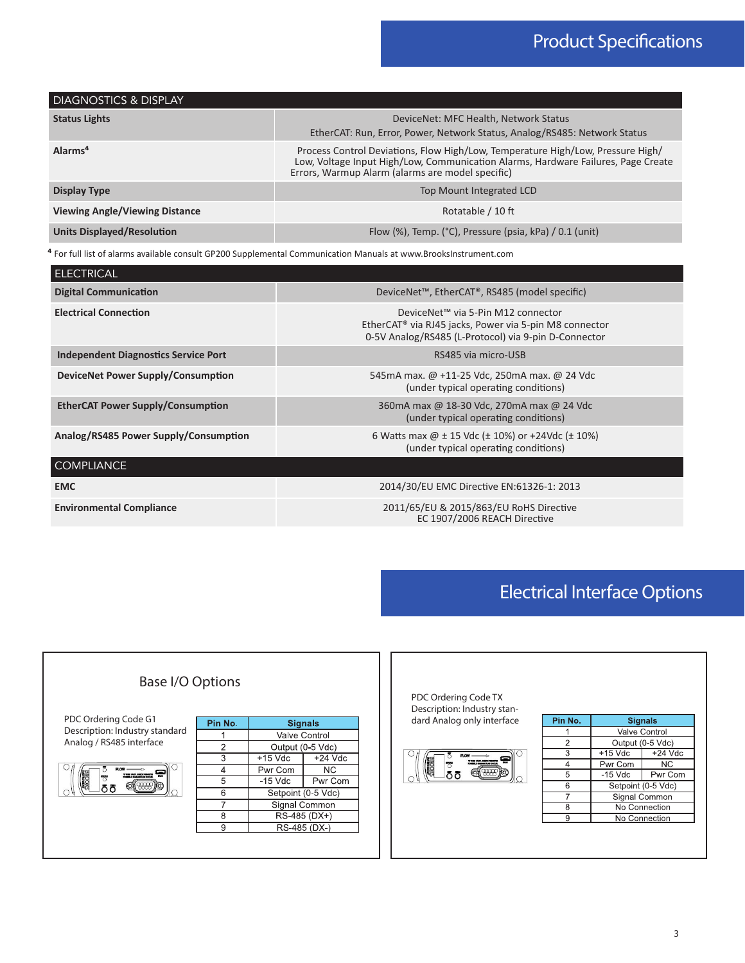| <b>DIAGNOSTICS &amp; DISPLAY</b>      |                                                                                                                                                                                                                          |
|---------------------------------------|--------------------------------------------------------------------------------------------------------------------------------------------------------------------------------------------------------------------------|
| <b>Status Lights</b>                  | DeviceNet: MFC Health, Network Status<br>EtherCAT: Run, Error, Power, Network Status, Analog/RS485: Network Status                                                                                                       |
| Alarms <sup>4</sup>                   | Process Control Deviations, Flow High/Low, Temperature High/Low, Pressure High/<br>Low, Voltage Input High/Low, Communication Alarms, Hardware Failures, Page Create<br>Errors, Warmup Alarm (alarms are model specific) |
| Display Type                          | Top Mount Integrated LCD                                                                                                                                                                                                 |
| <b>Viewing Angle/Viewing Distance</b> | Rotatable / 10 ft                                                                                                                                                                                                        |
| <b>Units Displayed/Resolution</b>     | Flow $(\%)$ , Temp. ( $^{\circ}$ C), Pressure (psia, kPa) / 0.1 (unit)                                                                                                                                                   |

**⁴** For full list of alarms available consult GP200 Supplemental Communication Manuals at www.BrooksInstrument.com

| <b>ELECTRICAL</b>                           |                                                                                                                                                                  |  |  |  |  |  |
|---------------------------------------------|------------------------------------------------------------------------------------------------------------------------------------------------------------------|--|--|--|--|--|
| <b>Digital Communication</b>                | DeviceNet <sup>™</sup> , EtherCAT <sup>®</sup> , RS485 (model specific)                                                                                          |  |  |  |  |  |
| <b>Electrical Connection</b>                | DeviceNet™ via 5-Pin M12 connector<br>EtherCAT <sup>®</sup> via RJ45 jacks, Power via 5-pin M8 connector<br>0-5V Analog/RS485 (L-Protocol) via 9-pin D-Connector |  |  |  |  |  |
| <b>Independent Diagnostics Service Port</b> | RS485 via micro-USB                                                                                                                                              |  |  |  |  |  |
| DeviceNet Power Supply/Consumption          | 545 mA max. @ +11-25 Vdc, 250 mA max. @ 24 Vdc<br>(under typical operating conditions)                                                                           |  |  |  |  |  |
| <b>EtherCAT Power Supply/Consumption</b>    | 360mA max @ 18-30 Vdc, 270mA max @ 24 Vdc<br>(under typical operating conditions)                                                                                |  |  |  |  |  |
| Analog/RS485 Power Supply/Consumption       | 6 Watts max $@ \pm 15$ Vdc ( $\pm$ 10%) or +24Vdc ( $\pm$ 10%)<br>(under typical operating conditions)                                                           |  |  |  |  |  |
| <b>COMPLIANCE</b>                           |                                                                                                                                                                  |  |  |  |  |  |
| <b>EMC</b>                                  | 2014/30/EU EMC Directive EN:61326-1: 2013                                                                                                                        |  |  |  |  |  |
| <b>Environmental Compliance</b>             | 2011/65/EU & 2015/863/EU RoHS Directive<br>EC 1907/2006 REACH Directive                                                                                          |  |  |  |  |  |

## Electrical Interface Options



| Pin No. | <b>Signals</b>     |                      |  |  |  |  |
|---------|--------------------|----------------------|--|--|--|--|
|         |                    | <b>Valve Control</b> |  |  |  |  |
| 2       | Output (0-5 Vdc)   |                      |  |  |  |  |
| 3       | $+15$ Vdc          | $+24$ Vdc            |  |  |  |  |
|         | Pwr Com            | ΝC                   |  |  |  |  |
| 5       | $-15$ Vdc          | Pwr Com              |  |  |  |  |
| 6       | Setpoint (0-5 Vdc) |                      |  |  |  |  |
|         | Signal Common      |                      |  |  |  |  |
| Ջ       | No Connection      |                      |  |  |  |  |
| c       | No Connection      |                      |  |  |  |  |

 $\boldsymbol{\Xi}$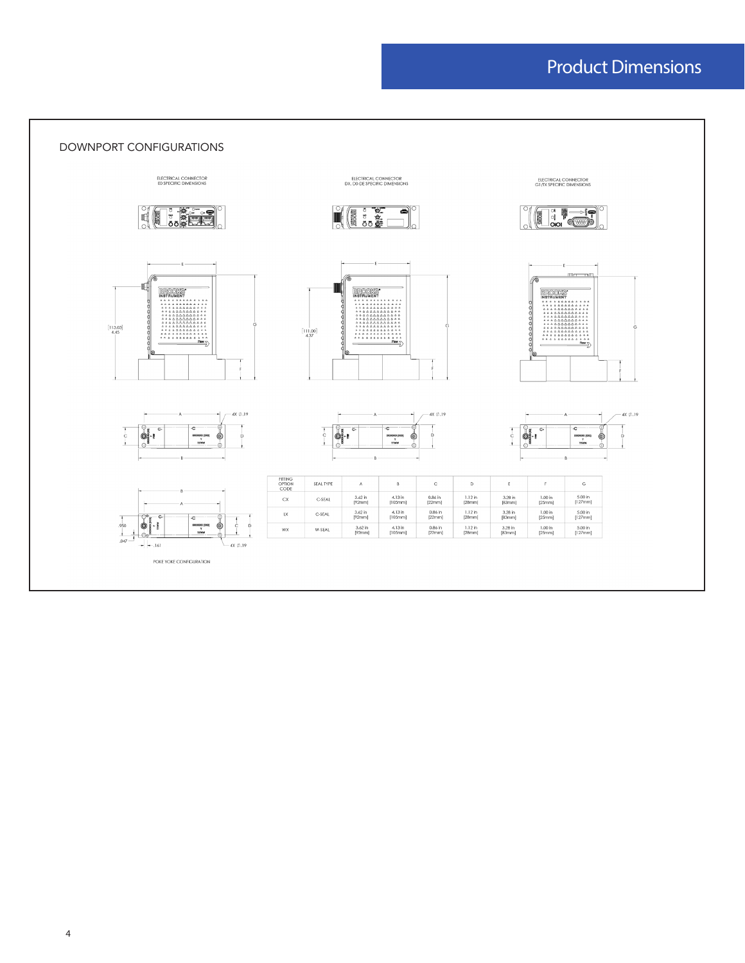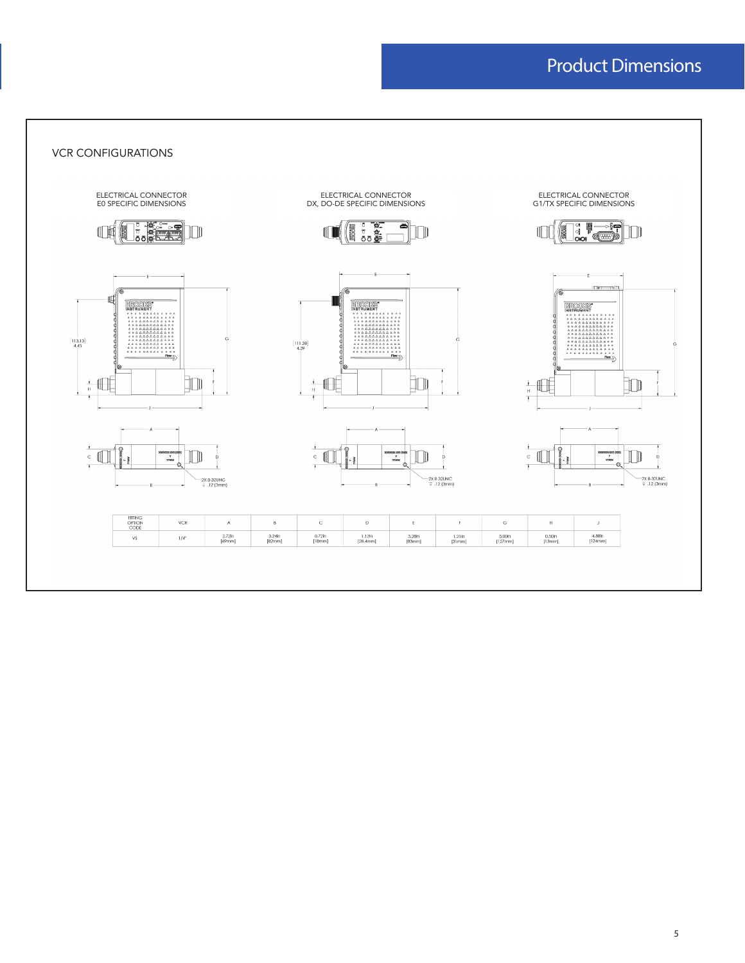VCR CONFIGURATIONS

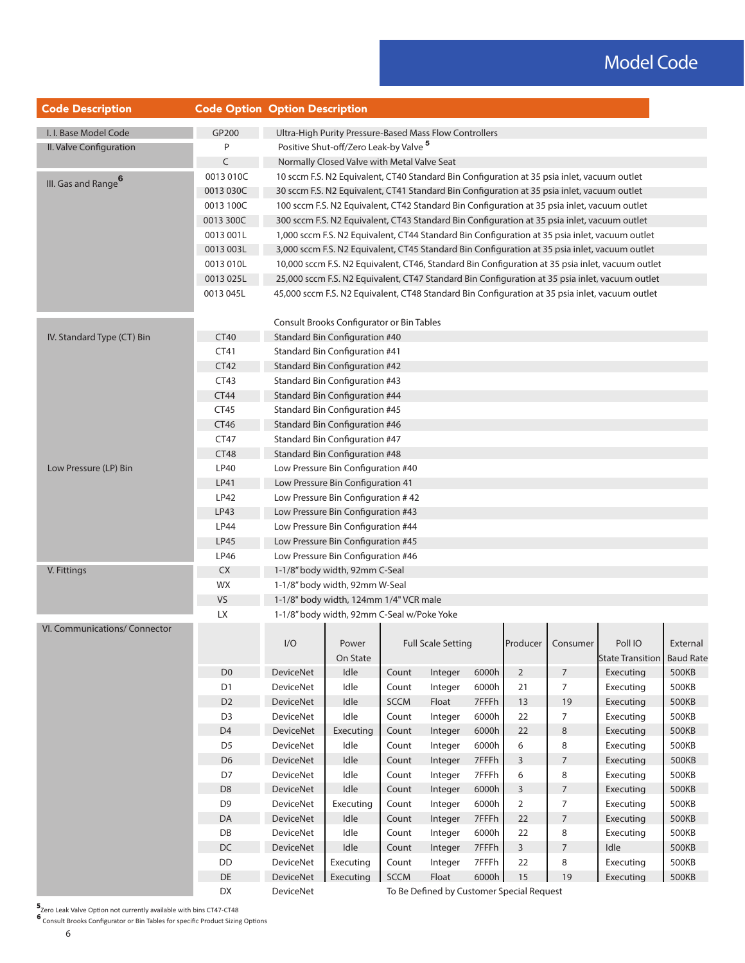| <b>Code Description</b>                                                                     | <b>Code Option Option Description</b>                                                                                                                                                                                                                                                                                                                                                                                                                                                                                                                                                                                                                                                                                                                                                                                                                                                                                                                                                                                                                                                                                                                                                                                                                                                                                                                                                                                                                                                           |                  |                                                        |             |                                           |       |                |                     |                         |                                                                                                      |  |  |  |  |
|---------------------------------------------------------------------------------------------|-------------------------------------------------------------------------------------------------------------------------------------------------------------------------------------------------------------------------------------------------------------------------------------------------------------------------------------------------------------------------------------------------------------------------------------------------------------------------------------------------------------------------------------------------------------------------------------------------------------------------------------------------------------------------------------------------------------------------------------------------------------------------------------------------------------------------------------------------------------------------------------------------------------------------------------------------------------------------------------------------------------------------------------------------------------------------------------------------------------------------------------------------------------------------------------------------------------------------------------------------------------------------------------------------------------------------------------------------------------------------------------------------------------------------------------------------------------------------------------------------|------------------|--------------------------------------------------------|-------------|-------------------------------------------|-------|----------------|---------------------|-------------------------|------------------------------------------------------------------------------------------------------|--|--|--|--|
| I. I. Base Model Code                                                                       | GP200                                                                                                                                                                                                                                                                                                                                                                                                                                                                                                                                                                                                                                                                                                                                                                                                                                                                                                                                                                                                                                                                                                                                                                                                                                                                                                                                                                                                                                                                                           |                  | Ultra-High Purity Pressure-Based Mass Flow Controllers |             |                                           |       |                |                     |                         |                                                                                                      |  |  |  |  |
| II. Valve Configuration                                                                     | Ρ                                                                                                                                                                                                                                                                                                                                                                                                                                                                                                                                                                                                                                                                                                                                                                                                                                                                                                                                                                                                                                                                                                                                                                                                                                                                                                                                                                                                                                                                                               |                  |                                                        |             |                                           |       |                |                     |                         |                                                                                                      |  |  |  |  |
|                                                                                             | Positive Shut-off/Zero Leak-by Valve <sup>5</sup><br>C<br>Normally Closed Valve with Metal Valve Seat<br>0013 010C<br>10 sccm F.S. N2 Equivalent, CT40 Standard Bin Configuration at 35 psia inlet, vacuum outlet<br>0013 030C<br>30 sccm F.S. N2 Equivalent, CT41 Standard Bin Configuration at 35 psia inlet, vacuum outlet<br>100 sccm F.S. N2 Equivalent, CT42 Standard Bin Configuration at 35 psia inlet, vacuum outlet<br>0013 100C<br>0013 300C<br>300 sccm F.S. N2 Equivalent, CT43 Standard Bin Configuration at 35 psia inlet, vacuum outlet<br>0013 001L<br>1,000 sccm F.S. N2 Equivalent, CT44 Standard Bin Configuration at 35 psia inlet, vacuum outlet<br>0013 003L<br>3,000 sccm F.S. N2 Equivalent, CT45 Standard Bin Configuration at 35 psia inlet, vacuum outlet<br>0013 010L<br>10,000 sccm F.S. N2 Equivalent, CT46, Standard Bin Configuration at 35 psia inlet, vacuum outlet<br>0013 025L<br>25,000 sccm F.S. N2 Equivalent, CT47 Standard Bin Configuration at 35 psia inlet, vacuum outlet<br>0013 045L<br>45,000 sccm F.S. N2 Equivalent, CT48 Standard Bin Configuration at 35 psia inlet, vacuum outlet<br>Consult Brooks Configurator or Bin Tables<br><b>CT40</b><br><b>Standard Bin Configuration #40</b><br>CT41<br><b>Standard Bin Configuration #41</b><br>CT42<br><b>Standard Bin Configuration #42</b><br>CT43<br><b>Standard Bin Configuration #43</b><br><b>CT44</b><br><b>Standard Bin Configuration #44</b><br><b>Standard Bin Configuration #45</b> |                  |                                                        |             |                                           |       |                |                     |                         |                                                                                                      |  |  |  |  |
|                                                                                             |                                                                                                                                                                                                                                                                                                                                                                                                                                                                                                                                                                                                                                                                                                                                                                                                                                                                                                                                                                                                                                                                                                                                                                                                                                                                                                                                                                                                                                                                                                 |                  |                                                        |             |                                           |       |                |                     |                         |                                                                                                      |  |  |  |  |
| III. Gas and Range <sup>6</sup>                                                             |                                                                                                                                                                                                                                                                                                                                                                                                                                                                                                                                                                                                                                                                                                                                                                                                                                                                                                                                                                                                                                                                                                                                                                                                                                                                                                                                                                                                                                                                                                 |                  |                                                        |             |                                           |       |                |                     |                         |                                                                                                      |  |  |  |  |
|                                                                                             |                                                                                                                                                                                                                                                                                                                                                                                                                                                                                                                                                                                                                                                                                                                                                                                                                                                                                                                                                                                                                                                                                                                                                                                                                                                                                                                                                                                                                                                                                                 |                  |                                                        |             |                                           |       |                |                     |                         |                                                                                                      |  |  |  |  |
|                                                                                             |                                                                                                                                                                                                                                                                                                                                                                                                                                                                                                                                                                                                                                                                                                                                                                                                                                                                                                                                                                                                                                                                                                                                                                                                                                                                                                                                                                                                                                                                                                 |                  |                                                        |             |                                           |       |                |                     |                         |                                                                                                      |  |  |  |  |
|                                                                                             |                                                                                                                                                                                                                                                                                                                                                                                                                                                                                                                                                                                                                                                                                                                                                                                                                                                                                                                                                                                                                                                                                                                                                                                                                                                                                                                                                                                                                                                                                                 |                  |                                                        |             |                                           |       |                |                     |                         | External<br><b>Baud Rate</b><br>500KB<br>500KB<br>500KB<br>500KB<br>500KB<br>500KB<br>500KB<br>500KB |  |  |  |  |
|                                                                                             |                                                                                                                                                                                                                                                                                                                                                                                                                                                                                                                                                                                                                                                                                                                                                                                                                                                                                                                                                                                                                                                                                                                                                                                                                                                                                                                                                                                                                                                                                                 |                  |                                                        |             |                                           |       |                |                     |                         |                                                                                                      |  |  |  |  |
|                                                                                             |                                                                                                                                                                                                                                                                                                                                                                                                                                                                                                                                                                                                                                                                                                                                                                                                                                                                                                                                                                                                                                                                                                                                                                                                                                                                                                                                                                                                                                                                                                 |                  |                                                        |             |                                           |       |                |                     |                         |                                                                                                      |  |  |  |  |
|                                                                                             |                                                                                                                                                                                                                                                                                                                                                                                                                                                                                                                                                                                                                                                                                                                                                                                                                                                                                                                                                                                                                                                                                                                                                                                                                                                                                                                                                                                                                                                                                                 |                  |                                                        |             |                                           |       |                |                     |                         |                                                                                                      |  |  |  |  |
|                                                                                             |                                                                                                                                                                                                                                                                                                                                                                                                                                                                                                                                                                                                                                                                                                                                                                                                                                                                                                                                                                                                                                                                                                                                                                                                                                                                                                                                                                                                                                                                                                 |                  |                                                        |             |                                           |       |                |                     |                         |                                                                                                      |  |  |  |  |
|                                                                                             |                                                                                                                                                                                                                                                                                                                                                                                                                                                                                                                                                                                                                                                                                                                                                                                                                                                                                                                                                                                                                                                                                                                                                                                                                                                                                                                                                                                                                                                                                                 |                  |                                                        |             |                                           |       |                |                     |                         |                                                                                                      |  |  |  |  |
|                                                                                             |                                                                                                                                                                                                                                                                                                                                                                                                                                                                                                                                                                                                                                                                                                                                                                                                                                                                                                                                                                                                                                                                                                                                                                                                                                                                                                                                                                                                                                                                                                 |                  |                                                        |             |                                           |       |                |                     |                         |                                                                                                      |  |  |  |  |
| IV. Standard Type (CT) Bin                                                                  |                                                                                                                                                                                                                                                                                                                                                                                                                                                                                                                                                                                                                                                                                                                                                                                                                                                                                                                                                                                                                                                                                                                                                                                                                                                                                                                                                                                                                                                                                                 |                  |                                                        |             |                                           |       |                |                     |                         |                                                                                                      |  |  |  |  |
| Low Pressure (LP) Bin                                                                       |                                                                                                                                                                                                                                                                                                                                                                                                                                                                                                                                                                                                                                                                                                                                                                                                                                                                                                                                                                                                                                                                                                                                                                                                                                                                                                                                                                                                                                                                                                 |                  |                                                        |             |                                           |       |                |                     |                         |                                                                                                      |  |  |  |  |
|                                                                                             |                                                                                                                                                                                                                                                                                                                                                                                                                                                                                                                                                                                                                                                                                                                                                                                                                                                                                                                                                                                                                                                                                                                                                                                                                                                                                                                                                                                                                                                                                                 |                  |                                                        |             |                                           |       |                |                     |                         |                                                                                                      |  |  |  |  |
|                                                                                             |                                                                                                                                                                                                                                                                                                                                                                                                                                                                                                                                                                                                                                                                                                                                                                                                                                                                                                                                                                                                                                                                                                                                                                                                                                                                                                                                                                                                                                                                                                 |                  |                                                        |             |                                           |       |                |                     |                         |                                                                                                      |  |  |  |  |
|                                                                                             |                                                                                                                                                                                                                                                                                                                                                                                                                                                                                                                                                                                                                                                                                                                                                                                                                                                                                                                                                                                                                                                                                                                                                                                                                                                                                                                                                                                                                                                                                                 |                  |                                                        |             |                                           |       |                |                     |                         |                                                                                                      |  |  |  |  |
|                                                                                             | CT45                                                                                                                                                                                                                                                                                                                                                                                                                                                                                                                                                                                                                                                                                                                                                                                                                                                                                                                                                                                                                                                                                                                                                                                                                                                                                                                                                                                                                                                                                            |                  |                                                        |             |                                           |       |                |                     |                         |                                                                                                      |  |  |  |  |
|                                                                                             | CT46                                                                                                                                                                                                                                                                                                                                                                                                                                                                                                                                                                                                                                                                                                                                                                                                                                                                                                                                                                                                                                                                                                                                                                                                                                                                                                                                                                                                                                                                                            |                  | <b>Standard Bin Configuration #46</b>                  |             |                                           |       |                |                     |                         |                                                                                                      |  |  |  |  |
|                                                                                             | CT47                                                                                                                                                                                                                                                                                                                                                                                                                                                                                                                                                                                                                                                                                                                                                                                                                                                                                                                                                                                                                                                                                                                                                                                                                                                                                                                                                                                                                                                                                            |                  | Standard Bin Configuration #47                         |             |                                           |       |                |                     |                         |                                                                                                      |  |  |  |  |
|                                                                                             | <b>CT48</b>                                                                                                                                                                                                                                                                                                                                                                                                                                                                                                                                                                                                                                                                                                                                                                                                                                                                                                                                                                                                                                                                                                                                                                                                                                                                                                                                                                                                                                                                                     |                  | <b>Standard Bin Configuration #48</b>                  |             |                                           |       |                |                     |                         |                                                                                                      |  |  |  |  |
|                                                                                             | LP40                                                                                                                                                                                                                                                                                                                                                                                                                                                                                                                                                                                                                                                                                                                                                                                                                                                                                                                                                                                                                                                                                                                                                                                                                                                                                                                                                                                                                                                                                            |                  | Low Pressure Bin Configuration #40                     |             |                                           |       |                |                     |                         |                                                                                                      |  |  |  |  |
|                                                                                             | LP41                                                                                                                                                                                                                                                                                                                                                                                                                                                                                                                                                                                                                                                                                                                                                                                                                                                                                                                                                                                                                                                                                                                                                                                                                                                                                                                                                                                                                                                                                            |                  | Low Pressure Bin Configuration 41                      |             |                                           |       |                |                     |                         |                                                                                                      |  |  |  |  |
|                                                                                             | <b>LP42</b>                                                                                                                                                                                                                                                                                                                                                                                                                                                                                                                                                                                                                                                                                                                                                                                                                                                                                                                                                                                                                                                                                                                                                                                                                                                                                                                                                                                                                                                                                     |                  | Low Pressure Bin Configuration #42                     |             |                                           |       |                |                     |                         |                                                                                                      |  |  |  |  |
|                                                                                             | LP43                                                                                                                                                                                                                                                                                                                                                                                                                                                                                                                                                                                                                                                                                                                                                                                                                                                                                                                                                                                                                                                                                                                                                                                                                                                                                                                                                                                                                                                                                            |                  | Low Pressure Bin Configuration #43                     |             |                                           |       |                |                     |                         |                                                                                                      |  |  |  |  |
|                                                                                             | <b>LP44</b>                                                                                                                                                                                                                                                                                                                                                                                                                                                                                                                                                                                                                                                                                                                                                                                                                                                                                                                                                                                                                                                                                                                                                                                                                                                                                                                                                                                                                                                                                     |                  | Low Pressure Bin Configuration #44                     |             |                                           |       |                |                     |                         |                                                                                                      |  |  |  |  |
|                                                                                             | <b>LP45</b>                                                                                                                                                                                                                                                                                                                                                                                                                                                                                                                                                                                                                                                                                                                                                                                                                                                                                                                                                                                                                                                                                                                                                                                                                                                                                                                                                                                                                                                                                     |                  | Low Pressure Bin Configuration #45                     |             |                                           |       |                |                     |                         |                                                                                                      |  |  |  |  |
|                                                                                             | <b>LP46</b>                                                                                                                                                                                                                                                                                                                                                                                                                                                                                                                                                                                                                                                                                                                                                                                                                                                                                                                                                                                                                                                                                                                                                                                                                                                                                                                                                                                                                                                                                     |                  | Low Pressure Bin Configuration #46                     |             |                                           |       |                |                     |                         |                                                                                                      |  |  |  |  |
| V. Fittings                                                                                 | <b>CX</b>                                                                                                                                                                                                                                                                                                                                                                                                                                                                                                                                                                                                                                                                                                                                                                                                                                                                                                                                                                                                                                                                                                                                                                                                                                                                                                                                                                                                                                                                                       |                  | 1-1/8" body width, 92mm C-Seal                         |             |                                           |       |                |                     |                         |                                                                                                      |  |  |  |  |
|                                                                                             | WX                                                                                                                                                                                                                                                                                                                                                                                                                                                                                                                                                                                                                                                                                                                                                                                                                                                                                                                                                                                                                                                                                                                                                                                                                                                                                                                                                                                                                                                                                              |                  | 1-1/8" body width, 92mm W-Seal                         |             |                                           |       |                |                     |                         |                                                                                                      |  |  |  |  |
|                                                                                             | VS                                                                                                                                                                                                                                                                                                                                                                                                                                                                                                                                                                                                                                                                                                                                                                                                                                                                                                                                                                                                                                                                                                                                                                                                                                                                                                                                                                                                                                                                                              |                  | 1-1/8" body width, 124mm 1/4" VCR male                 |             |                                           |       |                |                     |                         |                                                                                                      |  |  |  |  |
|                                                                                             | <b>LX</b>                                                                                                                                                                                                                                                                                                                                                                                                                                                                                                                                                                                                                                                                                                                                                                                                                                                                                                                                                                                                                                                                                                                                                                                                                                                                                                                                                                                                                                                                                       |                  | 1-1/8" body width, 92mm C-Seal w/Poke Yoke             |             |                                           |       |                |                     |                         |                                                                                                      |  |  |  |  |
| <b>VI. Communications/ Connector</b>                                                        |                                                                                                                                                                                                                                                                                                                                                                                                                                                                                                                                                                                                                                                                                                                                                                                                                                                                                                                                                                                                                                                                                                                                                                                                                                                                                                                                                                                                                                                                                                 |                  |                                                        |             |                                           |       |                |                     |                         |                                                                                                      |  |  |  |  |
|                                                                                             |                                                                                                                                                                                                                                                                                                                                                                                                                                                                                                                                                                                                                                                                                                                                                                                                                                                                                                                                                                                                                                                                                                                                                                                                                                                                                                                                                                                                                                                                                                 | I/O              | Power                                                  |             | <b>Full Scale Setting</b>                 |       |                | Producer   Consumer | Poll IO                 |                                                                                                      |  |  |  |  |
|                                                                                             |                                                                                                                                                                                                                                                                                                                                                                                                                                                                                                                                                                                                                                                                                                                                                                                                                                                                                                                                                                                                                                                                                                                                                                                                                                                                                                                                                                                                                                                                                                 |                  | On State                                               |             |                                           |       |                |                     | <b>State Transition</b> |                                                                                                      |  |  |  |  |
|                                                                                             | D <sub>0</sub>                                                                                                                                                                                                                                                                                                                                                                                                                                                                                                                                                                                                                                                                                                                                                                                                                                                                                                                                                                                                                                                                                                                                                                                                                                                                                                                                                                                                                                                                                  | <b>DeviceNet</b> | Idle                                                   | Count       | Integer                                   | 6000h | $\overline{2}$ | $\overline{7}$      | Executing               |                                                                                                      |  |  |  |  |
|                                                                                             | D <sub>1</sub>                                                                                                                                                                                                                                                                                                                                                                                                                                                                                                                                                                                                                                                                                                                                                                                                                                                                                                                                                                                                                                                                                                                                                                                                                                                                                                                                                                                                                                                                                  | <b>DeviceNet</b> | Idle                                                   | Count       | Integer                                   | 6000h | 21             | 7                   | Executing               |                                                                                                      |  |  |  |  |
|                                                                                             | D <sub>2</sub>                                                                                                                                                                                                                                                                                                                                                                                                                                                                                                                                                                                                                                                                                                                                                                                                                                                                                                                                                                                                                                                                                                                                                                                                                                                                                                                                                                                                                                                                                  | <b>DeviceNet</b> | Idle                                                   | <b>SCCM</b> | Float                                     | 7FFFh | 13             | 19                  | Executing               |                                                                                                      |  |  |  |  |
|                                                                                             | D <sub>3</sub>                                                                                                                                                                                                                                                                                                                                                                                                                                                                                                                                                                                                                                                                                                                                                                                                                                                                                                                                                                                                                                                                                                                                                                                                                                                                                                                                                                                                                                                                                  | <b>DeviceNet</b> | Idle                                                   | Count       | Integer                                   | 6000h | 22             | 7                   | Executing               |                                                                                                      |  |  |  |  |
|                                                                                             | D <sub>4</sub>                                                                                                                                                                                                                                                                                                                                                                                                                                                                                                                                                                                                                                                                                                                                                                                                                                                                                                                                                                                                                                                                                                                                                                                                                                                                                                                                                                                                                                                                                  | <b>DeviceNet</b> | Executing                                              | Count       | Integer                                   | 6000h | 22             | 8                   | Executing               |                                                                                                      |  |  |  |  |
|                                                                                             | D <sub>5</sub>                                                                                                                                                                                                                                                                                                                                                                                                                                                                                                                                                                                                                                                                                                                                                                                                                                                                                                                                                                                                                                                                                                                                                                                                                                                                                                                                                                                                                                                                                  | <b>DeviceNet</b> | Idle                                                   | Count       | Integer                                   | 6000h | 6              | 8                   | Executing               |                                                                                                      |  |  |  |  |
|                                                                                             | D <sub>6</sub>                                                                                                                                                                                                                                                                                                                                                                                                                                                                                                                                                                                                                                                                                                                                                                                                                                                                                                                                                                                                                                                                                                                                                                                                                                                                                                                                                                                                                                                                                  | DeviceNet        | Idle                                                   | Count       | Integer                                   | 7FFFh | 3              | $\overline{7}$      | Executing               |                                                                                                      |  |  |  |  |
|                                                                                             | D7                                                                                                                                                                                                                                                                                                                                                                                                                                                                                                                                                                                                                                                                                                                                                                                                                                                                                                                                                                                                                                                                                                                                                                                                                                                                                                                                                                                                                                                                                              | <b>DeviceNet</b> | Idle                                                   | Count       | Integer                                   | 7FFFh | 6              | 8                   | Executing               |                                                                                                      |  |  |  |  |
|                                                                                             | D <sub>8</sub>                                                                                                                                                                                                                                                                                                                                                                                                                                                                                                                                                                                                                                                                                                                                                                                                                                                                                                                                                                                                                                                                                                                                                                                                                                                                                                                                                                                                                                                                                  | <b>DeviceNet</b> | Idle                                                   | Count       | Integer                                   | 6000h | 3              | $\overline{7}$      | Executing               | 500KB                                                                                                |  |  |  |  |
|                                                                                             | D <sub>9</sub>                                                                                                                                                                                                                                                                                                                                                                                                                                                                                                                                                                                                                                                                                                                                                                                                                                                                                                                                                                                                                                                                                                                                                                                                                                                                                                                                                                                                                                                                                  | <b>DeviceNet</b> | Executing                                              | Count       | Integer                                   | 6000h | 2              | 7                   | Executing               | 500KB                                                                                                |  |  |  |  |
|                                                                                             | DA                                                                                                                                                                                                                                                                                                                                                                                                                                                                                                                                                                                                                                                                                                                                                                                                                                                                                                                                                                                                                                                                                                                                                                                                                                                                                                                                                                                                                                                                                              | <b>DeviceNet</b> | Idle                                                   | Count       | Integer                                   | 7FFFh | 22             | $\overline{7}$      | Executing               | 500KB                                                                                                |  |  |  |  |
|                                                                                             | DB                                                                                                                                                                                                                                                                                                                                                                                                                                                                                                                                                                                                                                                                                                                                                                                                                                                                                                                                                                                                                                                                                                                                                                                                                                                                                                                                                                                                                                                                                              | DeviceNet        | Idle                                                   | Count       | Integer                                   | 6000h | 22             | 8                   | Executing               | 500KB                                                                                                |  |  |  |  |
|                                                                                             | DC                                                                                                                                                                                                                                                                                                                                                                                                                                                                                                                                                                                                                                                                                                                                                                                                                                                                                                                                                                                                                                                                                                                                                                                                                                                                                                                                                                                                                                                                                              | <b>DeviceNet</b> | Idle                                                   | Count       | Integer                                   | 7FFFh | 3              | $\overline{7}$      | Idle                    | 500KB                                                                                                |  |  |  |  |
| DD<br>DeviceNet<br>Executing<br>Count<br>DE<br><b>SCCM</b><br><b>DeviceNet</b><br>Executing |                                                                                                                                                                                                                                                                                                                                                                                                                                                                                                                                                                                                                                                                                                                                                                                                                                                                                                                                                                                                                                                                                                                                                                                                                                                                                                                                                                                                                                                                                                 |                  |                                                        | Integer     | 7FFFh                                     | 22    | 8              | Executing           | 500KB                   |                                                                                                      |  |  |  |  |
|                                                                                             |                                                                                                                                                                                                                                                                                                                                                                                                                                                                                                                                                                                                                                                                                                                                                                                                                                                                                                                                                                                                                                                                                                                                                                                                                                                                                                                                                                                                                                                                                                 |                  |                                                        |             | Float                                     | 6000h | 15             | 19                  | Executing               | 500KB                                                                                                |  |  |  |  |
|                                                                                             | DX                                                                                                                                                                                                                                                                                                                                                                                                                                                                                                                                                                                                                                                                                                                                                                                                                                                                                                                                                                                                                                                                                                                                                                                                                                                                                                                                                                                                                                                                                              | DeviceNet        |                                                        |             | To Be Defined by Customer Special Request |       |                |                     |                         |                                                                                                      |  |  |  |  |

**5**<br>\_Zero Leak Valve Option not currently available with bins CT47-CT48

**⁶** Consult Brooks Configurator or Bin Tables for specific Product Sizing Options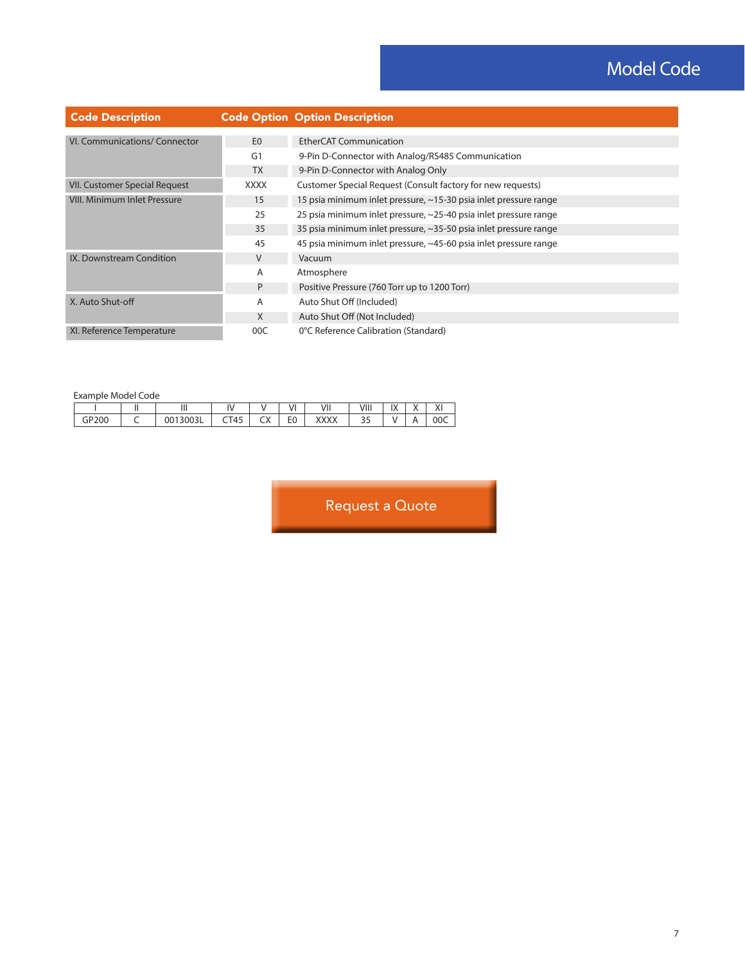# Model Code

| <b>Code Description</b>             |                | <b>Code Option Option Description</b>                            |
|-------------------------------------|----------------|------------------------------------------------------------------|
|                                     |                |                                                                  |
| VI. Communications/ Connector       | E <sub>0</sub> | <b>EtherCAT Communication</b>                                    |
|                                     | G <sub>1</sub> | 9-Pin D-Connector with Analog/RS485 Communication                |
|                                     | <b>TX</b>      | 9-Pin D-Connector with Analog Only                               |
| VII. Customer Special Request       | XXXX           | Customer Special Request (Consult factory for new requests)      |
| <b>VIII. Minimum Inlet Pressure</b> | 15             | 15 psia minimum inlet pressure, ~15-30 psia inlet pressure range |
|                                     | 25             | 25 psia minimum inlet pressure, ~25-40 psia inlet pressure range |
|                                     | 35             | 35 psia minimum inlet pressure, ~35-50 psia inlet pressure range |
|                                     | 45             | 45 psia minimum inlet pressure, ~45-60 psia inlet pressure range |
| IX. Downstream Condition            | V              | Vacuum                                                           |
|                                     | A              | Atmosphere                                                       |
|                                     | P              | Positive Pressure (760 Torr up to 1200 Torr)                     |
| X. Auto Shut-off                    | A              | Auto Shut Off (Included)                                         |
|                                     | X              | Auto Shut Off (Not Included)                                     |
| XI. Reference Temperature           | 00C            | 0°C Reference Calibration (Standard)                             |

Example Model Code

| <b>LAUTHUIC MOUL COUL</b> |  |        |                      |              |             |              |                          |                                        |                          |                 |
|---------------------------|--|--------|----------------------|--------------|-------------|--------------|--------------------------|----------------------------------------|--------------------------|-----------------|
|                           |  |        | $\ddot{\phantom{a}}$ |              | $^{\prime}$ | VII          | $\overline{111}$<br>VIII | $\overline{1}$<br>$\overline{1\wedge}$ | $\overline{\phantom{a}}$ | $\cdots$<br>711 |
| ٠P<br>'200                |  | ם כטטי | CT45                 | $\sim$<br>◡◠ | r o<br>ΕU   | <b>VVVVV</b> | --                       |                                        |                          | 00C             |

Request a Quote